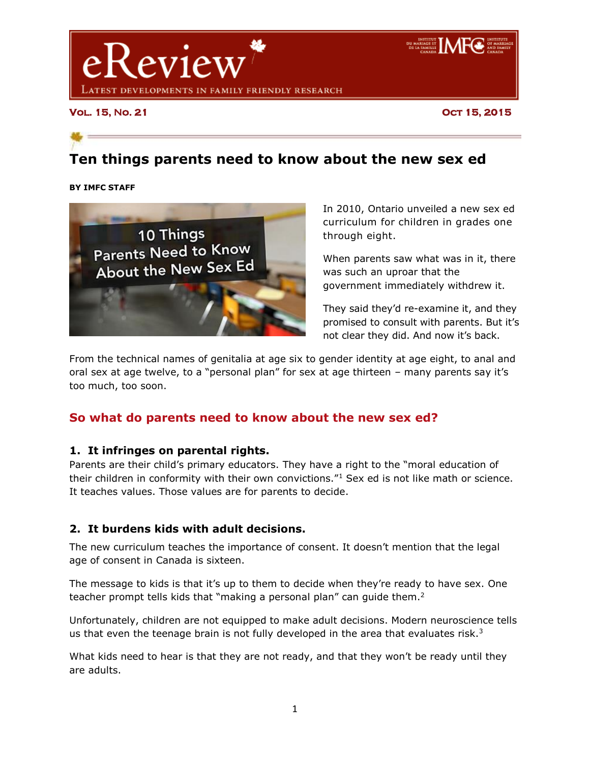

**Vol. 15, No. 21 Oct 15, 2015** 

# **Ten things parents need to know about the new sex ed**

**BY IMFC STAFF**



In 2010, Ontario unveiled a new sex ed curriculum for children in grades one through eight.

When parents saw what was in it, there was such an uproar that the government immediately withdrew it.

They said they'd re-examine it, and they promised to consult with parents. But it's not clear they did. And now it's back.

From the technical names of genitalia at age six to gender identity at age eight, to anal and oral sex at age twelve, to a "personal plan" for sex at age thirteen – many parents say it's too much, too soon.

# **So what do parents need to know about the new sex ed?**

#### **1. It infringes on parental rights.**

Parents are their child's primary educators. They have a right to the "moral education of their children in conformity with their own convictions."<sup>1</sup> Sex ed is not like math or science. It teaches values. Those values are for parents to decide.

# **2. It burdens kids with adult decisions.**

The new curriculum teaches the importance of consent. It doesn't mention that the legal age of consent in Canada is sixteen.

The message to kids is that it's up to them to decide when they're ready to have sex. One teacher prompt tells kids that "making a personal plan" can guide them.<sup>2</sup>

Unfortunately, children are not equipped to make adult decisions. Modern neuroscience tells us that even the teenage brain is not fully developed in the area that evaluates risk. $3$ 

What kids need to hear is that they are not ready, and that they won't be ready until they are adults.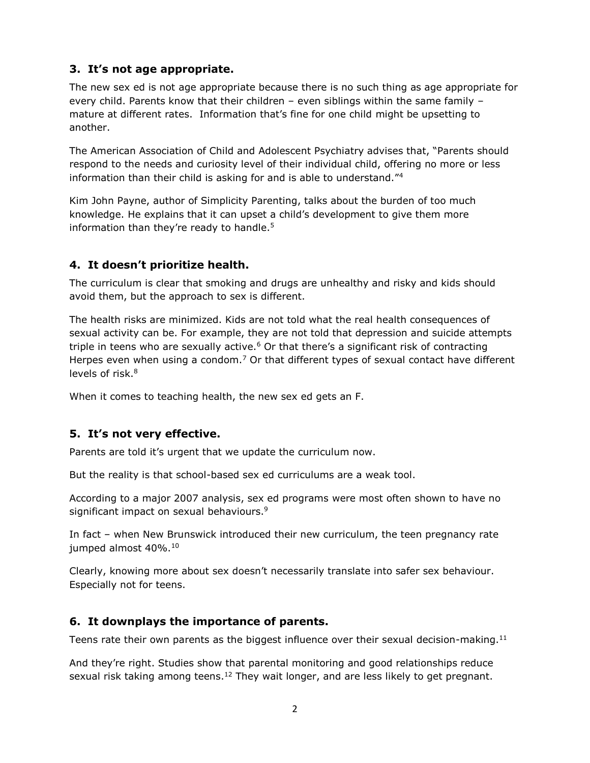## **3. It's not age appropriate.**

The new sex ed is not age appropriate because there is no such thing as age appropriate for every child. Parents know that their children – even siblings within the same family – mature at different rates. Information that's fine for one child might be upsetting to another.

The American Association of Child and Adolescent Psychiatry advises that, "Parents should respond to the needs and curiosity level of their individual child, offering no more or less information than their child is asking for and is able to understand."<sup>4</sup>

Kim John Payne, author of Simplicity Parenting, talks about the burden of too much knowledge. He explains that it can upset a child's development to give them more information than they're ready to handle.<sup>5</sup>

## **4. It doesn't prioritize health.**

The curriculum is clear that smoking and drugs are unhealthy and risky and kids should avoid them, but the approach to sex is different.

The health risks are minimized. Kids are not told what the real health consequences of sexual activity can be. For example, they are not told that depression and suicide attempts triple in teens who are sexually active.<sup>6</sup> Or that there's a significant risk of contracting Herpes even when using a condom.<sup>7</sup> Or that different types of sexual contact have different levels of risk.<sup>8</sup>

When it comes to teaching health, the new sex ed gets an F.

#### **5. It's not very effective.**

Parents are told it's urgent that we update the curriculum now.

But the reality is that school-based sex ed curriculums are a weak tool.

According to a major 2007 analysis, sex ed programs were most often shown to have no significant impact on sexual behaviours. 9

In fact – when New Brunswick introduced their new curriculum, the teen pregnancy rate jumped almost 40%.<sup>10</sup>

Clearly, knowing more about sex doesn't necessarily translate into safer sex behaviour. Especially not for teens.

#### **6. It downplays the importance of parents.**

Teens rate their own parents as the biggest influence over their sexual decision-making.<sup>11</sup>

And they're right. Studies show that parental monitoring and good relationships reduce sexual risk taking among teens.<sup>12</sup> They wait longer, and are less likely to get pregnant.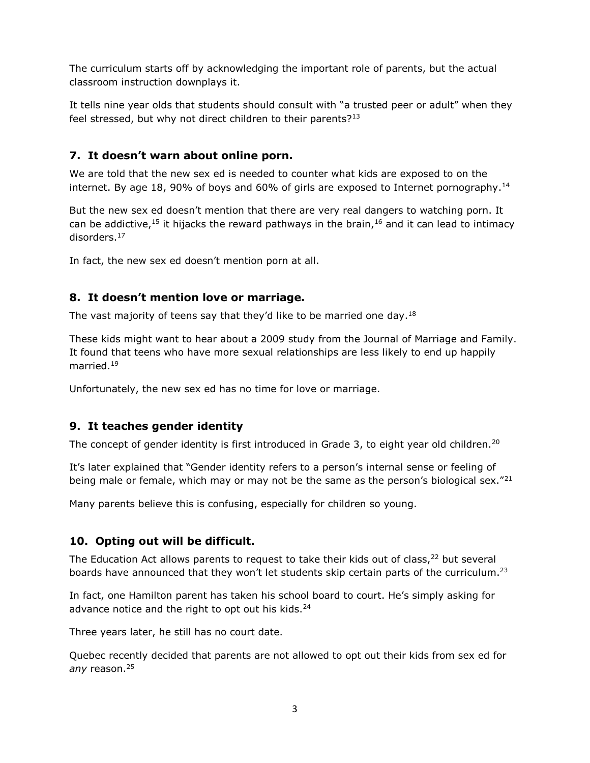The curriculum starts off by acknowledging the important role of parents, but the actual classroom instruction downplays it.

It tells nine year olds that students should consult with "a trusted peer or adult" when they feel stressed, but why not direct children to their parents?<sup>13</sup>

#### **7. It doesn't warn about online porn.**

We are told that the new sex ed is needed to counter what kids are exposed to on the internet. By age 18, 90% of boys and 60% of girls are exposed to Internet pornography.<sup>14</sup>

But the new sex ed doesn't mention that there are very real dangers to watching porn. It can be addictive,<sup>15</sup> it hijacks the reward pathways in the brain,<sup>16</sup> and it can lead to intimacy disorders.<sup>17</sup>

In fact, the new sex ed doesn't mention porn at all.

#### **8. It doesn't mention love or marriage.**

The vast majority of teens say that they'd like to be married one day.<sup>18</sup>

These kids might want to hear about a 2009 study from the Journal of Marriage and Family. It found that teens who have more sexual relationships are less likely to end up happily married.<sup>19</sup>

Unfortunately, the new sex ed has no time for love or marriage.

#### **9. It teaches gender identity**

The concept of gender identity is first introduced in Grade 3, to eight year old children.<sup>20</sup>

It's later explained that "Gender identity refers to a person's internal sense or feeling of being male or female, which may or may not be the same as the person's biological sex."<sup>21</sup>

Many parents believe this is confusing, especially for children so young.

#### **10. Opting out will be difficult.**

The Education Act allows parents to request to take their kids out of class, $^{22}$  but several boards have announced that they won't let students skip certain parts of the curriculum.<sup>23</sup>

In fact, one Hamilton parent has taken his school board to court. He's simply asking for advance notice and the right to opt out his kids.<sup>24</sup>

Three years later, he still has no court date.

Quebec recently decided that parents are not allowed to opt out their kids from sex ed for *any* reason.<sup>25</sup>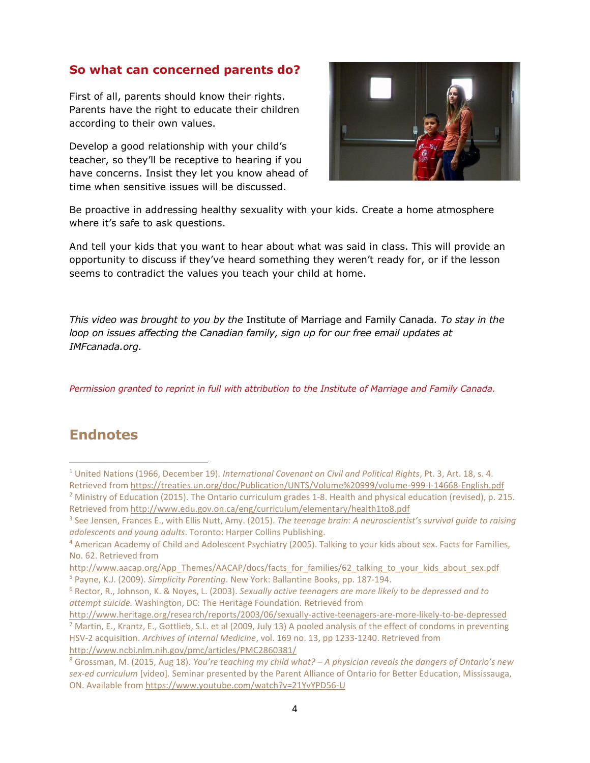# **So what can concerned parents do?**

First of all, parents should know their rights. Parents have the right to educate their children according to their own values.

Develop a good relationship with your child's teacher, so they'll be receptive to hearing if you have concerns. Insist they let you know ahead of time when sensitive issues will be discussed.



Be proactive in addressing healthy sexuality with your kids. Create a home atmosphere where it's safe to ask questions.

And tell your kids that you want to hear about what was said in class. This will provide an opportunity to discuss if they've heard something they weren't ready for, or if the lesson seems to contradict the values you teach your child at home.

*This video was brought to you by the* Institute of Marriage and Family Canada*. To stay in the loop on issues affecting the Canadian family, sign up for our free email updates at IMFcanada.org.*

*Permission granted to reprint in full with attribution to the Institute of Marriage and Family Canada.*

# **Endnotes**

l

<sup>1</sup> United Nations (1966, December 19). *International Covenant on Civil and Political Rights*, Pt. 3, Art. 18, s. 4. Retrieved fro[m https://treaties.un.org/doc/Publication/UNTS/Volume%20999/volume-999-I-14668-English.pdf](https://treaties.un.org/doc/Publication/UNTS/Volume%20999/volume-999-I-14668-English.pdf) <sup>2</sup> Ministry of Education (2015). The Ontario curriculum grades 1-8. Health and physical education (revised), p. 215.

Retrieved fro[m http://www.edu.gov.on.ca/eng/curriculum/elementary/health1to8.pdf](http://www.edu.gov.on.ca/eng/curriculum/elementary/health1to8.pdf)

<sup>3</sup> See Jensen, Frances E., with Ellis Nutt, Amy. (2015). *The teenage brain: A neuroscientist's survival guide to raising adolescents and young adults*. Toronto: Harper Collins Publishing.

<sup>4</sup> American Academy of Child and Adolescent Psychiatry (2005). Talking to your kids about sex. Facts for Families, No. 62. Retrieved from

[http://www.aacap.org/App\\_Themes/AACAP/docs/facts\\_for\\_families/62\\_talking\\_to\\_your\\_kids\\_about\\_sex.pdf](http://www.aacap.org/App_Themes/AACAP/docs/facts_for_families/62_talking_to_your_kids_about_sex.pdf) <sup>5</sup> Payne, K.J. (2009). *Simplicity Parenting*. New York: Ballantine Books, pp. 187-194.

<sup>6</sup> Rector, R., Johnson, K. & Noyes, L. (2003). *Sexually active teenagers are more likely to be depressed and to attempt suicide.* Washington, DC: The Heritage Foundation. Retrieved from

<http://www.heritage.org/research/reports/2003/06/sexually-active-teenagers-are-more-likely-to-be-depressed>  $^7$  Martin, E., Krantz, E., Gottlieb, S.L. et al (2009, July 13) A pooled analysis of the effect of condoms in preventing HSV-2 acquisition. *Archives of Internal Medicine*, vol. 169 no. 13, pp 1233-1240. Retrieved from <http://www.ncbi.nlm.nih.gov/pmc/articles/PMC2860381/>

<sup>8</sup> Grossman, M. (2015, Aug 18). *You're teaching my child what? – A physician reveals the dangers of Ontario's new sex-ed curriculum* [video]*.* Seminar presented by the Parent Alliance of Ontario for Better Education, Mississauga, ON. Available from<https://www.youtube.com/watch?v=21YvYPD56-U>